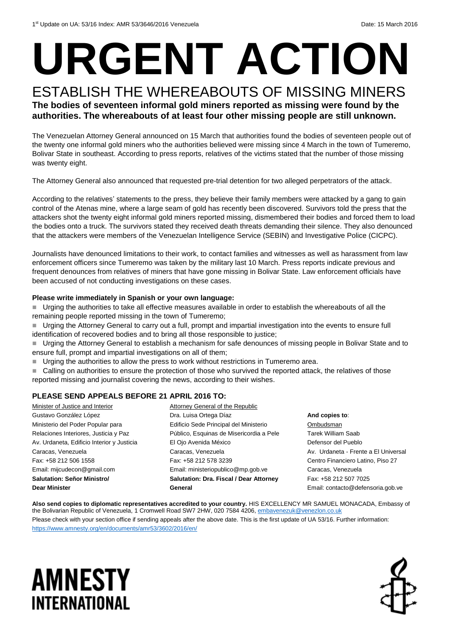# **URGENT ACTION**

#### ESTABLISH THE WHEREABOUTS OF MISSING MINERS **The bodies of seventeen informal gold miners reported as missing were found by the authorities. The whereabouts of at least four other missing people are still unknown.**

The Venezuelan Attorney General announced on 15 March that authorities found the bodies of seventeen people out of the twenty one informal gold miners who the authorities believed were missing since 4 March in the town of Tumeremo, Bolivar State in southeast. According to press reports, relatives of the victims stated that the number of those missing was twenty eight.

The Attorney General also announced that requested pre-trial detention for two alleged perpetrators of the attack.

According to the relatives' statements to the press, they believe their family members were attacked by a gang to gain control of the Atenas mine, where a large seam of gold has recently been discovered. Survivors told the press that the attackers shot the twenty eight informal gold miners reported missing, dismembered their bodies and forced them to load the bodies onto a truck. The survivors stated they received death threats demanding their silence. They also denounced that the attackers were members of the Venezuelan Intelligence Service (SEBIN) and Investigative Police (CICPC).

Journalists have denounced limitations to their work, to contact families and witnesses as well as harassment from law enforcement officers since Tumeremo was taken by the military last 10 March. Press reports indicate previous and frequent denounces from relatives of miners that have gone missing in Bolivar State. Law enforcement officials have been accused of not conducting investigations on these cases.

#### **Please write immediately in Spanish or your own language:**

- Urging the authorities to take all effective measures available in order to establish the whereabouts of all the
- remaining people reported missing in the town of Tumeremo;
- Urging the Attorney General to carry out a full, prompt and impartial investigation into the events to ensure full identification of recovered bodies and to bring all those responsible to justice;
- Urging the Attorney General to establish a mechanism for safe denounces of missing people in Bolivar State and to ensure full, prompt and impartial investigations on all of them;
- Urging the authorities to allow the press to work without restrictions in Tumeremo area.
- Calling on authorities to ensure the protection of those who survived the reported attack, the relatives of those reported missing and journalist covering the news, according to their wishes.

#### **PLEASE SEND APPEALS BEFORE 21 APRIL 2016 TO:**

| Minister of Justice and Interior           | Attorney General of the Republic         |                                      |
|--------------------------------------------|------------------------------------------|--------------------------------------|
| Gustavo González López                     | Dra. Luisa Ortega Díaz                   | And copies to:                       |
| Ministerio del Poder Popular para          | Edificio Sede Principal del Ministerio   | Ombudsman                            |
| Relaciones Interiores, Justicia y Paz      | Público, Esquinas de Misericordia a Pele | Tarek William Saab                   |
| Av. Urdaneta, Edificio Interior y Justicia | El Ojo Avenida México                    | Defensor del Pueblo                  |
| Caracas, Venezuela                         | Caracas, Venezuela                       | Av. Urdaneta - Frente a El Universal |
| Fax: +58 212 506 1558                      | Fax: +58 212 578 3239                    | Centro Financiero Latino, Piso 27    |
| Email: mijcudecon@gmail.com                | Email: ministeriopublico@mp.gob.ve       | Caracas, Venezuela                   |
| Salutation: Señor Ministro/                | Salutation: Dra. Fiscal / Dear Attorney  | Fax: +58 212 507 7025                |
| <b>Dear Minister</b>                       | General                                  | Email: contacto@defensoria.gob.ve    |

**Also send copies to diplomatic representatives accredited to your country.** HIS EXCELLENCY MR SAMUEL MONACADA, Embassy of the Bolivarian Republic of Venezuela, 1 Cromwell Road SW7 2HW, 020 7584 4206, [embavenezuk@venezlon.co.uk](mailto:embavenezuk@venezlon.co.uk) Please check with your section office if sending appeals after the above date. This is the first update of UA 53/16. Further information: <https://www.amnesty.org/en/documents/amr53/3602/2016/en/>